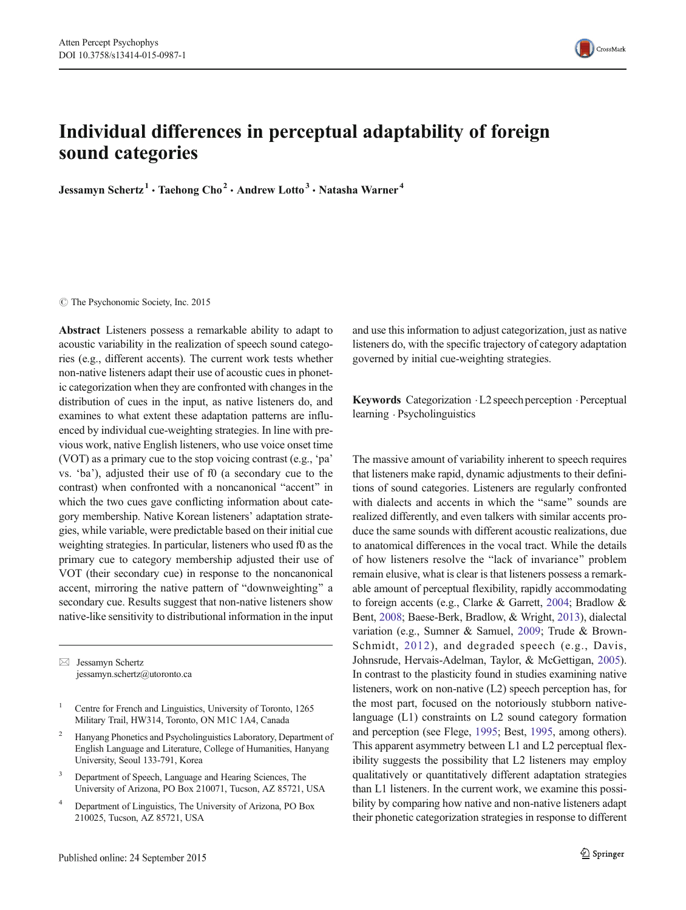

# Individual differences in perceptual adaptability of foreign sound categories

Jessamyn Schertz<sup>1</sup> · Taehong Cho<sup>2</sup> · Andrew Lotto<sup>3</sup> · Natasha Warner<sup>4</sup>

© The Psychonomic Society, Inc. 2015

Abstract Listeners possess a remarkable ability to adapt to acoustic variability in the realization of speech sound categories (e.g., different accents). The current work tests whether non-native listeners adapt their use of acoustic cues in phonetic categorization when they are confronted with changes in the distribution of cues in the input, as native listeners do, and examines to what extent these adaptation patterns are influenced by individual cue-weighting strategies. In line with previous work, native English listeners, who use voice onset time (VOT) as a primary cue to the stop voicing contrast (e.g., 'pa' vs. 'ba'), adjusted their use of f0 (a secondary cue to the contrast) when confronted with a noncanonical "accent" in which the two cues gave conflicting information about category membership. Native Korean listeners' adaptation strategies, while variable, were predictable based on their initial cue weighting strategies. In particular, listeners who used f0 as the primary cue to category membership adjusted their use of VOT (their secondary cue) in response to the noncanonical accent, mirroring the native pattern of "downweighting" a secondary cue. Results suggest that non-native listeners show native-like sensitivity to distributional information in the input

 $\boxtimes$  Jessamyn Schertz jessamyn.schertz@utoronto.ca

- <sup>2</sup> Hanyang Phonetics and Psycholinguistics Laboratory, Department of English Language and Literature, College of Humanities, Hanyang University, Seoul 133-791, Korea
- Department of Speech, Language and Hearing Sciences, The University of Arizona, PO Box 210071, Tucson, AZ 85721, USA
- <sup>4</sup> Department of Linguistics, The University of Arizona, PO Box 210025, Tucson, AZ 85721, USA

and use this information to adjust categorization, just as native listeners do, with the specific trajectory of category adaptation governed by initial cue-weighting strategies.

Keywords Categorization .L2 speech perception .Perceptual learning . Psycholinguistics

The massive amount of variability inherent to speech requires that listeners make rapid, dynamic adjustments to their definitions of sound categories. Listeners are regularly confronted with dialects and accents in which the "same" sounds are realized differently, and even talkers with similar accents produce the same sounds with different acoustic realizations, due to anatomical differences in the vocal tract. While the details of how listeners resolve the "lack of invariance" problem remain elusive, what is clear is that listeners possess a remarkable amount of perceptual flexibility, rapidly accommodating to foreign accents (e.g., Clarke & Garrett, [2004](#page-11-0); Bradlow & Bent, [2008](#page-11-0); Baese-Berk, Bradlow, & Wright, [2013\)](#page-11-0), dialectal variation (e.g., Sumner & Samuel, [2009](#page-12-0); Trude & Brown-Schmidt, [2012\)](#page-12-0), and degraded speech (e.g., Davis, Johnsrude, Hervais-Adelman, Taylor, & McGettigan, [2005\)](#page-11-0). In contrast to the plasticity found in studies examining native listeners, work on non-native (L2) speech perception has, for the most part, focused on the notoriously stubborn nativelanguage (L1) constraints on L2 sound category formation and perception (see Flege, [1995](#page-11-0); Best, [1995](#page-11-0), among others). This apparent asymmetry between L1 and L2 perceptual flexibility suggests the possibility that L2 listeners may employ qualitatively or quantitatively different adaptation strategies than L1 listeners. In the current work, we examine this possibility by comparing how native and non-native listeners adapt their phonetic categorization strategies in response to different

<sup>&</sup>lt;sup>1</sup> Centre for French and Linguistics, University of Toronto, 1265 Military Trail, HW314, Toronto, ON M1C 1A4, Canada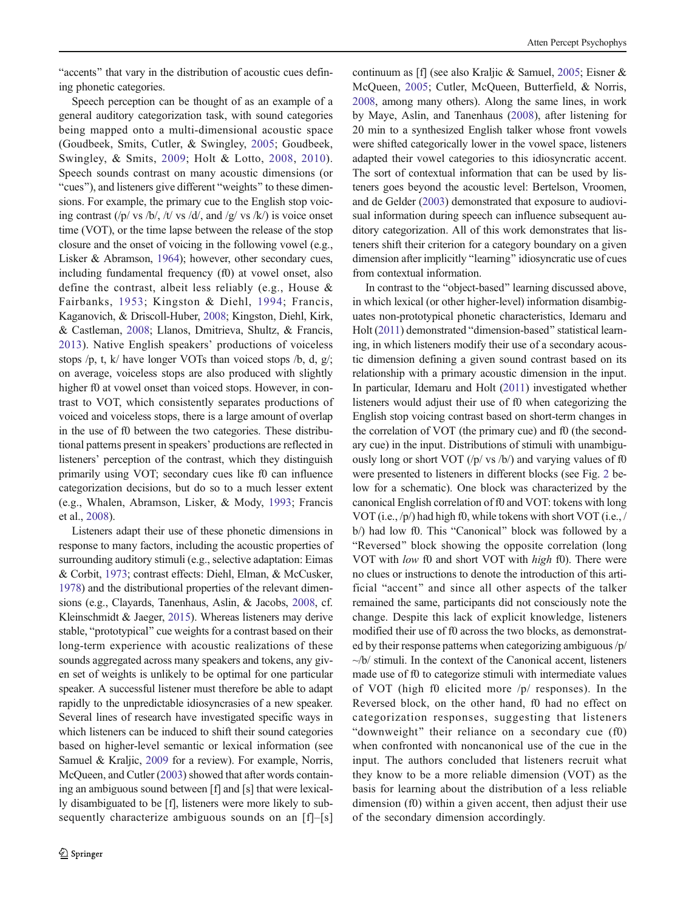"accents" that vary in the distribution of acoustic cues defining phonetic categories.

Speech perception can be thought of as an example of a general auditory categorization task, with sound categories being mapped onto a multi-dimensional acoustic space (Goudbeek, Smits, Cutler, & Swingley, [2005;](#page-11-0) Goudbeek, Swingley, & Smits, [2009;](#page-11-0) Holt & Lotto, [2008,](#page-11-0) [2010](#page-11-0)). Speech sounds contrast on many acoustic dimensions (or "cues"), and listeners give different "weights" to these dimensions. For example, the primary cue to the English stop voicing contrast (/p/ vs /b/, /t/ vs /d/, and /g/ vs /k/) is voice onset time (VOT), or the time lapse between the release of the stop closure and the onset of voicing in the following vowel (e.g., Lisker & Abramson, [1964\)](#page-12-0); however, other secondary cues, including fundamental frequency (f0) at vowel onset, also define the contrast, albeit less reliably (e.g., House & Fairbanks, [1953](#page-11-0); Kingston & Diehl, [1994;](#page-12-0) Francis, Kaganovich, & Driscoll-Huber, [2008](#page-11-0); Kingston, Diehl, Kirk, & Castleman, [2008;](#page-12-0) Llanos, Dmitrieva, Shultz, & Francis, [2013](#page-12-0)). Native English speakers' productions of voiceless stops  $/p$ , t, k/ have longer VOTs than voiced stops  $/b$ , d, g/; on average, voiceless stops are also produced with slightly higher f0 at vowel onset than voiced stops. However, in contrast to VOT, which consistently separates productions of voiced and voiceless stops, there is a large amount of overlap in the use of f0 between the two categories. These distributional patterns present in speakers' productions are reflected in listeners' perception of the contrast, which they distinguish primarily using VOT; secondary cues like f0 can influence categorization decisions, but do so to a much lesser extent (e.g., Whalen, Abramson, Lisker, & Mody, [1993](#page-12-0); Francis et al., [2008\)](#page-11-0).

Listeners adapt their use of these phonetic dimensions in response to many factors, including the acoustic properties of surrounding auditory stimuli (e.g., selective adaptation: Eimas & Corbit, [1973;](#page-11-0) contrast effects: Diehl, Elman, & McCusker, [1978\)](#page-11-0) and the distributional properties of the relevant dimensions (e.g., Clayards, Tanenhaus, Aslin, & Jacobs, [2008](#page-11-0), cf. Kleinschmidt & Jaeger, [2015\)](#page-12-0). Whereas listeners may derive stable, "prototypical" cue weights for a contrast based on their long-term experience with acoustic realizations of these sounds aggregated across many speakers and tokens, any given set of weights is unlikely to be optimal for one particular speaker. A successful listener must therefore be able to adapt rapidly to the unpredictable idiosyncrasies of a new speaker. Several lines of research have investigated specific ways in which listeners can be induced to shift their sound categories based on higher-level semantic or lexical information (see Samuel & Kraljic, [2009](#page-12-0) for a review). For example, Norris, McQueen, and Cutler [\(2003\)](#page-12-0) showed that after words containing an ambiguous sound between [f] and [s] that were lexically disambiguated to be [f], listeners were more likely to subsequently characterize ambiguous sounds on an [f]–[s]

continuum as [f] (see also Kraljic & Samuel, [2005;](#page-12-0) Eisner & McQueen, [2005](#page-11-0); Cutler, McQueen, Butterfield, & Norris, [2008,](#page-11-0) among many others). Along the same lines, in work by Maye, Aslin, and Tanenhaus ([2008\)](#page-12-0), after listening for 20 min to a synthesized English talker whose front vowels were shifted categorically lower in the vowel space, listeners adapted their vowel categories to this idiosyncratic accent. The sort of contextual information that can be used by listeners goes beyond the acoustic level: Bertelson, Vroomen, and de Gelder ([2003](#page-11-0)) demonstrated that exposure to audiovisual information during speech can influence subsequent auditory categorization. All of this work demonstrates that listeners shift their criterion for a category boundary on a given dimension after implicitly "learning" idiosyncratic use of cues from contextual information.

In contrast to the "object-based" learning discussed above, in which lexical (or other higher-level) information disambiguates non-prototypical phonetic characteristics, Idemaru and Holt [\(2011\)](#page-11-0) demonstrated "dimension-based" statistical learning, in which listeners modify their use of a secondary acoustic dimension defining a given sound contrast based on its relationship with a primary acoustic dimension in the input. In particular, Idemaru and Holt [\(2011](#page-11-0)) investigated whether listeners would adjust their use of f0 when categorizing the English stop voicing contrast based on short-term changes in the correlation of VOT (the primary cue) and f0 (the secondary cue) in the input. Distributions of stimuli with unambiguously long or short VOT  $\langle \rangle$  vs  $\langle \rangle$  and varying values of f0 were presented to listeners in different blocks (see Fig. [2](#page-5-0) below for a schematic). One block was characterized by the canonical English correlation of f0 and VOT: tokens with long VOT (i.e., /p/) had high f0, while tokens with short VOT (i.e., /  $b$ ) had low f0. This "Canonical" block was followed by a "Reversed" block showing the opposite correlation (long) VOT with *low* f0 and short VOT with *high* f0). There were no clues or instructions to denote the introduction of this artificial "accent" and since all other aspects of the talker remained the same, participants did not consciously note the change. Despite this lack of explicit knowledge, listeners modified their use of f0 across the two blocks, as demonstrated by their response patterns when categorizing ambiguous /p/  $-\sqrt{b}$  stimuli. In the context of the Canonical accent, listeners made use of f0 to categorize stimuli with intermediate values of VOT (high f0 elicited more /p/ responses). In the Reversed block, on the other hand, f0 had no effect on categorization responses, suggesting that listeners "downweight" their reliance on a secondary cue  $(f0)$ when confronted with noncanonical use of the cue in the input. The authors concluded that listeners recruit what they know to be a more reliable dimension (VOT) as the basis for learning about the distribution of a less reliable dimension (f0) within a given accent, then adjust their use of the secondary dimension accordingly.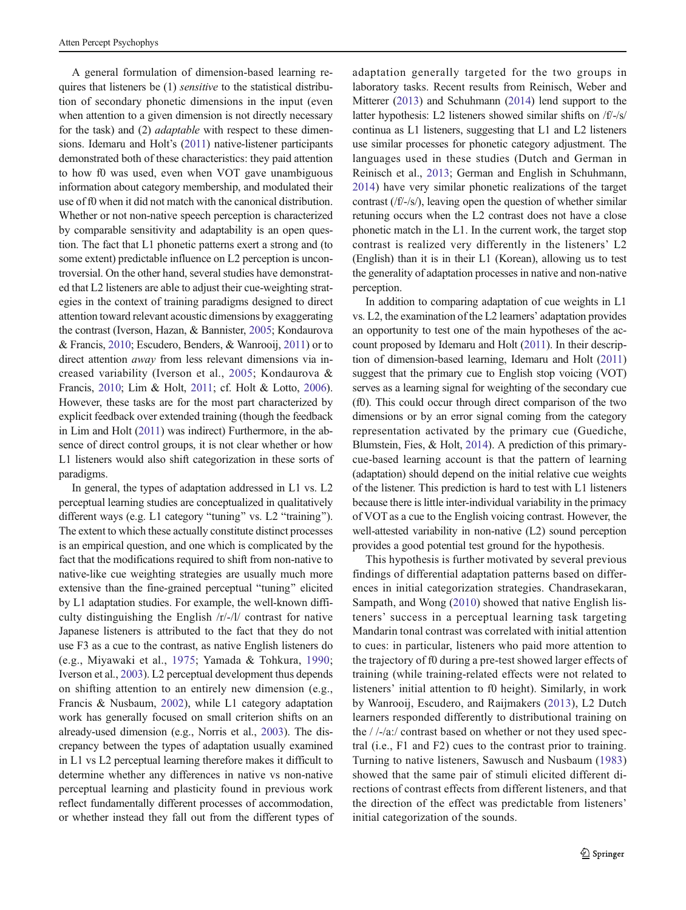A general formulation of dimension-based learning requires that listeners be (1) sensitive to the statistical distribution of secondary phonetic dimensions in the input (even when attention to a given dimension is not directly necessary for the task) and (2) adaptable with respect to these dimensions. Idemaru and Holt's [\(2011](#page-11-0)) native-listener participants demonstrated both of these characteristics: they paid attention to how f0 was used, even when VOT gave unambiguous information about category membership, and modulated their use of f0 when it did not match with the canonical distribution. Whether or not non-native speech perception is characterized by comparable sensitivity and adaptability is an open question. The fact that L1 phonetic patterns exert a strong and (to some extent) predictable influence on L2 perception is uncontroversial. On the other hand, several studies have demonstrated that L2 listeners are able to adjust their cue-weighting strategies in the context of training paradigms designed to direct attention toward relevant acoustic dimensions by exaggerating the contrast (Iverson, Hazan, & Bannister, [2005;](#page-11-0) Kondaurova & Francis, [2010;](#page-12-0) Escudero, Benders, & Wanrooij, [2011\)](#page-11-0) or to direct attention away from less relevant dimensions via increased variability (Iverson et al., [2005;](#page-11-0) Kondaurova & Francis, [2010](#page-12-0); Lim & Holt, [2011;](#page-12-0) cf. Holt & Lotto, [2006\)](#page-11-0). However, these tasks are for the most part characterized by explicit feedback over extended training (though the feedback in Lim and Holt [\(2011](#page-12-0)) was indirect) Furthermore, in the absence of direct control groups, it is not clear whether or how L1 listeners would also shift categorization in these sorts of paradigms.

In general, the types of adaptation addressed in L1 vs. L2 perceptual learning studies are conceptualized in qualitatively different ways (e.g. L1 category "tuning" vs. L2 "training"). The extent to which these actually constitute distinct processes is an empirical question, and one which is complicated by the fact that the modifications required to shift from non-native to native-like cue weighting strategies are usually much more extensive than the fine-grained perceptual "tuning" elicited by L1 adaptation studies. For example, the well-known difficulty distinguishing the English /r/-/l/ contrast for native Japanese listeners is attributed to the fact that they do not use F3 as a cue to the contrast, as native English listeners do (e.g., Miyawaki et al., [1975;](#page-12-0) Yamada & Tohkura, [1990](#page-12-0); Iverson et al., [2003](#page-11-0)). L2 perceptual development thus depends on shifting attention to an entirely new dimension (e.g., Francis & Nusbaum, [2002\)](#page-11-0), while L1 category adaptation work has generally focused on small criterion shifts on an already-used dimension (e.g., Norris et al., [2003](#page-12-0)). The discrepancy between the types of adaptation usually examined in L1 vs L2 perceptual learning therefore makes it difficult to determine whether any differences in native vs non-native perceptual learning and plasticity found in previous work reflect fundamentally different processes of accommodation, or whether instead they fall out from the different types of adaptation generally targeted for the two groups in laboratory tasks. Recent results from Reinisch, Weber and Mitterer [\(2013\)](#page-12-0) and Schuhmann ([2014](#page-12-0)) lend support to the latter hypothesis: L2 listeners showed similar shifts on /f/-/s/ continua as L1 listeners, suggesting that L1 and L2 listeners use similar processes for phonetic category adjustment. The languages used in these studies (Dutch and German in Reinisch et al., [2013](#page-12-0); German and English in Schuhmann, [2014](#page-12-0)) have very similar phonetic realizations of the target contrast (/f/-/s/), leaving open the question of whether similar retuning occurs when the L2 contrast does not have a close phonetic match in the L1. In the current work, the target stop contrast is realized very differently in the listeners' L2 (English) than it is in their L1 (Korean), allowing us to test the generality of adaptation processes in native and non-native perception.

In addition to comparing adaptation of cue weights in L1 vs. L2, the examination of the L2 learners' adaptation provides an opportunity to test one of the main hypotheses of the account proposed by Idemaru and Holt [\(2011](#page-11-0)). In their description of dimension-based learning, Idemaru and Holt ([2011\)](#page-11-0) suggest that the primary cue to English stop voicing (VOT) serves as a learning signal for weighting of the secondary cue (f0). This could occur through direct comparison of the two dimensions or by an error signal coming from the category representation activated by the primary cue (Guediche, Blumstein, Fies, & Holt, [2014\)](#page-11-0). A prediction of this primarycue-based learning account is that the pattern of learning (adaptation) should depend on the initial relative cue weights of the listener. This prediction is hard to test with L1 listeners because there is little inter-individual variability in the primacy of VOT as a cue to the English voicing contrast. However, the well-attested variability in non-native (L2) sound perception provides a good potential test ground for the hypothesis.

This hypothesis is further motivated by several previous findings of differential adaptation patterns based on differences in initial categorization strategies. Chandrasekaran, Sampath, and Wong ([2010\)](#page-11-0) showed that native English listeners' success in a perceptual learning task targeting Mandarin tonal contrast was correlated with initial attention to cues: in particular, listeners who paid more attention to the trajectory of f0 during a pre-test showed larger effects of training (while training-related effects were not related to listeners' initial attention to f0 height). Similarly, in work by Wanrooij, Escudero, and Raijmakers ([2013](#page-12-0)), L2 Dutch learners responded differently to distributional training on the / /-/a:/ contrast based on whether or not they used spectral (i.e., F1 and F2) cues to the contrast prior to training. Turning to native listeners, Sawusch and Nusbaum ([1983\)](#page-12-0) showed that the same pair of stimuli elicited different directions of contrast effects from different listeners, and that the direction of the effect was predictable from listeners' initial categorization of the sounds.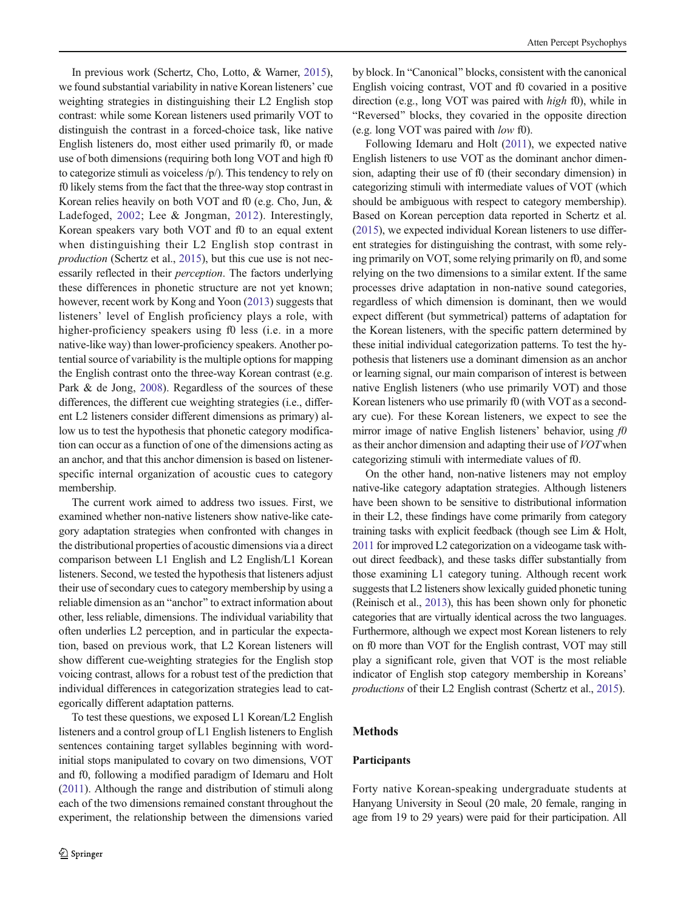In previous work (Schertz, Cho, Lotto, & Warner, [2015\)](#page-12-0), we found substantial variability in native Korean listeners' cue weighting strategies in distinguishing their L2 English stop contrast: while some Korean listeners used primarily VOT to distinguish the contrast in a forced-choice task, like native English listeners do, most either used primarily f0, or made use of both dimensions (requiring both long VOT and high f0 to categorize stimuli as voiceless /p/). This tendency to rely on f0 likely stems from the fact that the three-way stop contrast in Korean relies heavily on both VOT and f0 (e.g. Cho, Jun, & Ladefoged, [2002](#page-11-0); Lee & Jongman, [2012\)](#page-12-0). Interestingly, Korean speakers vary both VOT and f0 to an equal extent when distinguishing their L2 English stop contrast in production (Schertz et al., [2015](#page-12-0)), but this cue use is not necessarily reflected in their perception. The factors underlying these differences in phonetic structure are not yet known; however, recent work by Kong and Yoon ([2013](#page-12-0)) suggests that listeners' level of English proficiency plays a role, with higher-proficiency speakers using f0 less (i.e. in a more native-like way) than lower-proficiency speakers. Another potential source of variability is the multiple options for mapping the English contrast onto the three-way Korean contrast (e.g. Park & de Jong, [2008](#page-12-0)). Regardless of the sources of these differences, the different cue weighting strategies (i.e., different L2 listeners consider different dimensions as primary) allow us to test the hypothesis that phonetic category modification can occur as a function of one of the dimensions acting as an anchor, and that this anchor dimension is based on listenerspecific internal organization of acoustic cues to category membership.

The current work aimed to address two issues. First, we examined whether non-native listeners show native-like category adaptation strategies when confronted with changes in the distributional properties of acoustic dimensions via a direct comparison between L1 English and L2 English/L1 Korean listeners. Second, we tested the hypothesis that listeners adjust their use of secondary cues to category membership by using a reliable dimension as an "anchor" to extract information about other, less reliable, dimensions. The individual variability that often underlies L2 perception, and in particular the expectation, based on previous work, that L2 Korean listeners will show different cue-weighting strategies for the English stop voicing contrast, allows for a robust test of the prediction that individual differences in categorization strategies lead to categorically different adaptation patterns.

To test these questions, we exposed L1 Korean/L2 English listeners and a control group of L1 English listeners to English sentences containing target syllables beginning with wordinitial stops manipulated to covary on two dimensions, VOT and f0, following a modified paradigm of Idemaru and Holt [\(2011](#page-11-0)). Although the range and distribution of stimuli along each of the two dimensions remained constant throughout the experiment, the relationship between the dimensions varied by block. In "Canonical" blocks, consistent with the canonical English voicing contrast, VOT and f0 covaried in a positive direction (e.g., long VOT was paired with high f0), while in "Reversed" blocks, they covaried in the opposite direction (e.g. long VOT was paired with low f0).

Following Idemaru and Holt ([2011](#page-11-0)), we expected native English listeners to use VOT as the dominant anchor dimension, adapting their use of f0 (their secondary dimension) in categorizing stimuli with intermediate values of VOT (which should be ambiguous with respect to category membership). Based on Korean perception data reported in Schertz et al. [\(2015\)](#page-12-0), we expected individual Korean listeners to use different strategies for distinguishing the contrast, with some relying primarily on VOT, some relying primarily on f0, and some relying on the two dimensions to a similar extent. If the same processes drive adaptation in non-native sound categories, regardless of which dimension is dominant, then we would expect different (but symmetrical) patterns of adaptation for the Korean listeners, with the specific pattern determined by these initial individual categorization patterns. To test the hypothesis that listeners use a dominant dimension as an anchor or learning signal, our main comparison of interest is between native English listeners (who use primarily VOT) and those Korean listeners who use primarily f0 (with VOT as a secondary cue). For these Korean listeners, we expect to see the mirror image of native English listeners' behavior, using  $f0$ as their anchor dimension and adapting their use of VOTwhen categorizing stimuli with intermediate values of f0.

On the other hand, non-native listeners may not employ native-like category adaptation strategies. Although listeners have been shown to be sensitive to distributional information in their L2, these findings have come primarily from category training tasks with explicit feedback (though see Lim & Holt, [2011](#page-12-0) for improved L2 categorization on a videogame task without direct feedback), and these tasks differ substantially from those examining L1 category tuning. Although recent work suggests that L2 listeners show lexically guided phonetic tuning (Reinisch et al., [2013](#page-12-0)), this has been shown only for phonetic categories that are virtually identical across the two languages. Furthermore, although we expect most Korean listeners to rely on f0 more than VOT for the English contrast, VOT may still play a significant role, given that VOT is the most reliable indicator of English stop category membership in Koreans' productions of their L2 English contrast (Schertz et al., [2015](#page-12-0)).

# Methods

#### Participants

Forty native Korean-speaking undergraduate students at Hanyang University in Seoul (20 male, 20 female, ranging in age from 19 to 29 years) were paid for their participation. All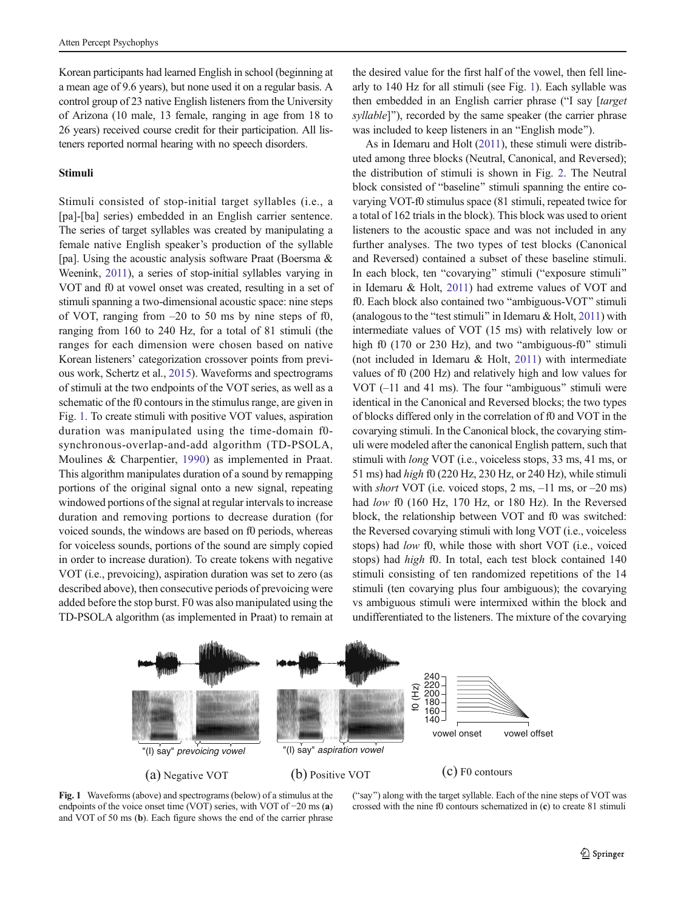Korean participants had learned English in school (beginning at a mean age of 9.6 years), but none used it on a regular basis. A control group of 23 native English listeners from the University of Arizona (10 male, 13 female, ranging in age from 18 to 26 years) received course credit for their participation. All listeners reported normal hearing with no speech disorders.

#### Stimuli

Stimuli consisted of stop-initial target syllables (i.e., a [pa]-[ba] series) embedded in an English carrier sentence. The series of target syllables was created by manipulating a female native English speaker's production of the syllable [pa]. Using the acoustic analysis software Praat (Boersma & Weenink, [2011\)](#page-11-0), a series of stop-initial syllables varying in VOT and f0 at vowel onset was created, resulting in a set of stimuli spanning a two-dimensional acoustic space: nine steps of VOT, ranging from  $-20$  to 50 ms by nine steps of f0, ranging from 160 to 240 Hz, for a total of 81 stimuli (the ranges for each dimension were chosen based on native Korean listeners' categorization crossover points from previous work, Schertz et al., [2015](#page-12-0)). Waveforms and spectrograms of stimuli at the two endpoints of the VOT series, as well as a schematic of the f0 contours in the stimulus range, are given in Fig. 1. To create stimuli with positive VOT values, aspiration duration was manipulated using the time-domain f0 synchronous-overlap-and-add algorithm (TD-PSOLA, Moulines & Charpentier, [1990\)](#page-12-0) as implemented in Praat. This algorithm manipulates duration of a sound by remapping portions of the original signal onto a new signal, repeating windowed portions of the signal at regular intervals to increase duration and removing portions to decrease duration (for voiced sounds, the windows are based on f0 periods, whereas for voiceless sounds, portions of the sound are simply copied in order to increase duration). To create tokens with negative VOT (i.e., prevoicing), aspiration duration was set to zero (as described above), then consecutive periods of prevoicing were added before the stop burst. F0 was also manipulated using the TD-PSOLA algorithm (as implemented in Praat) to remain at the desired value for the first half of the vowel, then fell linearly to 140 Hz for all stimuli (see Fig. 1). Each syllable was then embedded in an English carrier phrase ("I say [target] syllable]"), recorded by the same speaker (the carrier phrase was included to keep listeners in an "English mode").

As in Idemaru and Holt ([2011](#page-11-0)), these stimuli were distributed among three blocks (Neutral, Canonical, and Reversed); the distribution of stimuli is shown in Fig. [2.](#page-5-0) The Neutral block consisted of "baseline" stimuli spanning the entire covarying VOT-f0 stimulus space (81 stimuli, repeated twice for a total of 162 trials in the block). This block was used to orient listeners to the acoustic space and was not included in any further analyses. The two types of test blocks (Canonical and Reversed) contained a subset of these baseline stimuli. In each block, ten "covarying" stimuli ("exposure stimuli" in Idemaru & Holt, [2011](#page-11-0)) had extreme values of VOT and f0. Each block also contained two "ambiguous-VOT" stimuli (analogous to the "test stimuli" in Idemaru & Holt, [2011\)](#page-11-0) with intermediate values of VOT (15 ms) with relatively low or high f0 (170 or 230 Hz), and two "ambiguous-f0" stimuli (not included in Idemaru & Holt, [2011\)](#page-11-0) with intermediate values of f0 (200 Hz) and relatively high and low values for VOT  $(-11$  and 41 ms). The four "ambiguous" stimuli were identical in the Canonical and Reversed blocks; the two types of blocks differed only in the correlation of f0 and VOT in the covarying stimuli. In the Canonical block, the covarying stimuli were modeled after the canonical English pattern, such that stimuli with long VOT (i.e., voiceless stops, 33 ms, 41 ms, or 51 ms) had high f0 (220 Hz, 230 Hz, or 240 Hz), while stimuli with *short* VOT (i.e. voiced stops,  $2 \text{ ms}, -11 \text{ ms}, \text{ or } -20 \text{ ms}$ ) had low f0 (160 Hz, 170 Hz, or 180 Hz). In the Reversed block, the relationship between VOT and f0 was switched: the Reversed covarying stimuli with long VOT (i.e., voiceless stops) had low f0, while those with short VOT (i.e., voiced stops) had high f0. In total, each test block contained 140 stimuli consisting of ten randomized repetitions of the 14 stimuli (ten covarying plus four ambiguous); the covarying vs ambiguous stimuli were intermixed within the block and undifferentiated to the listeners. The mixture of the covarying



Fig. 1 Waveforms (above) and spectrograms (below) of a stimulus at the endpoints of the voice onset time (VOT) series, with VOT of −20 ms (a) and VOT of 50 ms (b). Each figure shows the end of the carrier phrase

("say") along with the target syllable. Each of the nine steps of VOT was crossed with the nine f0 contours schematized in (c) to create 81 stimuli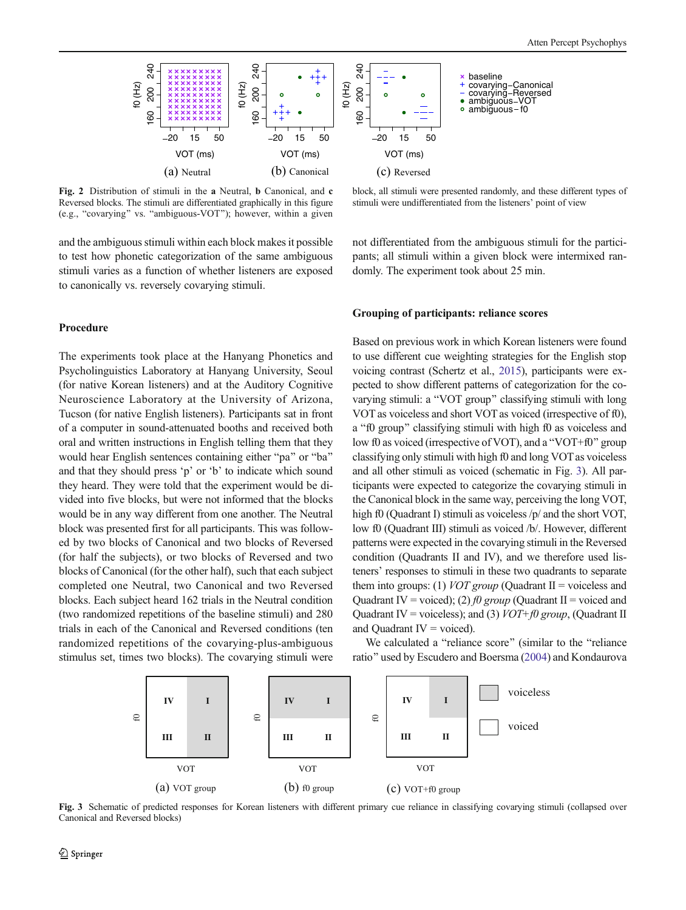<span id="page-5-0"></span>

Fig. 2 Distribution of stimuli in the a Neutral, b Canonical, and c Reversed blocks. The stimuli are differentiated graphically in this figure (e.g., "covarying" vs. "ambiguous-VOT"); however, within a given

and the ambiguous stimuli within each block makes it possible to test how phonetic categorization of the same ambiguous stimuli varies as a function of whether listeners are exposed to canonically vs. reversely covarying stimuli.

## Procedure

The experiments took place at the Hanyang Phonetics and Psycholinguistics Laboratory at Hanyang University, Seoul (for native Korean listeners) and at the Auditory Cognitive Neuroscience Laboratory at the University of Arizona, Tucson (for native English listeners). Participants sat in front of a computer in sound-attenuated booths and received both oral and written instructions in English telling them that they would hear English sentences containing either "pa" or "ba" and that they should press 'p' or 'b' to indicate which sound they heard. They were told that the experiment would be divided into five blocks, but were not informed that the blocks would be in any way different from one another. The Neutral block was presented first for all participants. This was followed by two blocks of Canonical and two blocks of Reversed (for half the subjects), or two blocks of Reversed and two blocks of Canonical (for the other half), such that each subject completed one Neutral, two Canonical and two Reversed blocks. Each subject heard 162 trials in the Neutral condition (two randomized repetitions of the baseline stimuli) and 280 trials in each of the Canonical and Reversed conditions (ten randomized repetitions of the covarying-plus-ambiguous stimulus set, times two blocks). The covarying stimuli were



baseline

+

VOT (ms)

 $-20$  15 50

 $\sigma$ 

covarying–Canonical<br>covarying–Reversed<br>ambiguous–VOT<br>ambiguous–f0

not differentiated from the ambiguous stimuli for the participants; all stimuli within a given block were intermixed randomly. The experiment took about 25 min.

## Grouping of participants: reliance scores

Based on previous work in which Korean listeners were found to use different cue weighting strategies for the English stop voicing contrast (Schertz et al., [2015\)](#page-12-0), participants were expected to show different patterns of categorization for the covarying stimuli: a "VOT group" classifying stimuli with long VOT as voiceless and short VOT as voiced (irrespective of f0), a "f0 group" classifying stimuli with high f0 as voiceless and low f0 as voiced (irrespective of VOT), and a "VOT+f0" group classifying only stimuli with high f0 and long VOT as voiceless and all other stimuli as voiced (schematic in Fig. 3). All participants were expected to categorize the covarying stimuli in the Canonical block in the same way, perceiving the long VOT, high f0 (Quadrant I) stimuli as voiceless  $/p$  and the short VOT, low f0 (Quadrant III) stimuli as voiced /b/. However, different patterns were expected in the covarying stimuli in the Reversed condition (Quadrants II and IV), and we therefore used listeners' responses to stimuli in these two quadrants to separate them into groups: (1) *VOT group* (Quadrant II = voiceless and Quadrant IV = voiced); (2) f0 group (Quadrant II = voiced and Quadrant IV = voiceless); and (3)  $VOT+f0$  group, (Quadrant II and Quadrant  $IV = voiceed$ ).

We calculated a "reliance score" (similar to the "reliance ratio" used by Escudero and Boersma [\(2004](#page-11-0)) and Kondaurova



Fig. 3 Schematic of predicted responses for Korean listeners with different primary cue reliance in classifying covarying stimuli (collapsed over Canonical and Reversed blocks)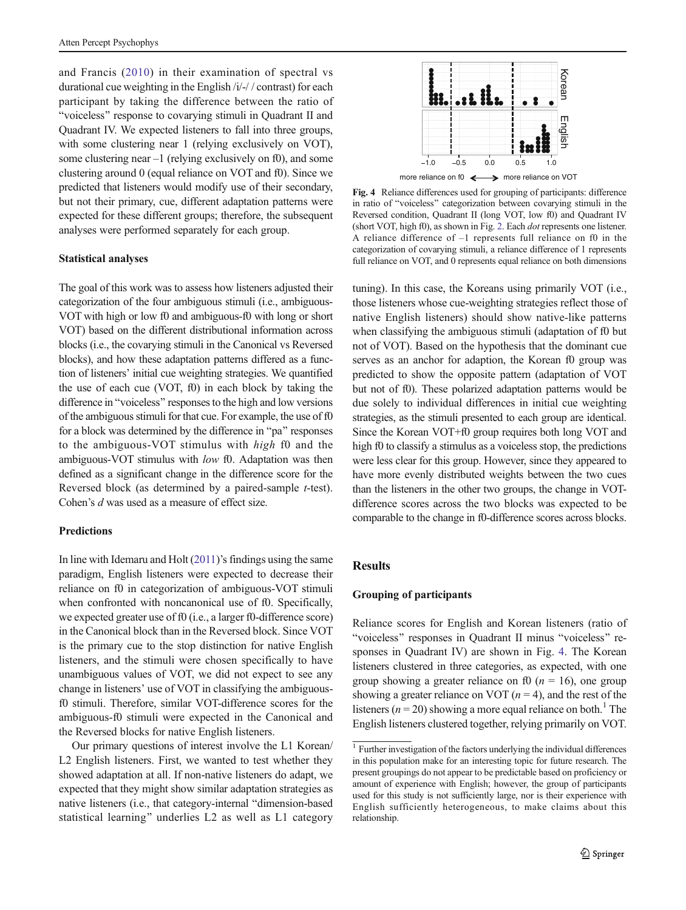<span id="page-6-0"></span>and Francis ([2010](#page-12-0)) in their examination of spectral vs durational cue weighting in the English /i/-/ / contrast) for each participant by taking the difference between the ratio of "voiceless" response to covarying stimuli in Quadrant II and Quadrant IV. We expected listeners to fall into three groups, with some clustering near 1 (relying exclusively on VOT), some clustering near  $-1$  (relying exclusively on f0), and some clustering around 0 (equal reliance on VOT and f0). Since we predicted that listeners would modify use of their secondary, but not their primary, cue, different adaptation patterns were expected for these different groups; therefore, the subsequent analyses were performed separately for each group.

## Statistical analyses

The goal of this work was to assess how listeners adjusted their categorization of the four ambiguous stimuli (i.e., ambiguous-VOT with high or low f0 and ambiguous-f0 with long or short VOT) based on the different distributional information across blocks (i.e., the covarying stimuli in the Canonical vs Reversed blocks), and how these adaptation patterns differed as a function of listeners' initial cue weighting strategies. We quantified the use of each cue (VOT, f0) in each block by taking the difference in "voiceless" responses to the high and low versions of the ambiguous stimuli for that cue. For example, the use of f0 for a block was determined by the difference in "pa" responses to the ambiguous-VOT stimulus with high f0 and the ambiguous-VOT stimulus with low f0. Adaptation was then defined as a significant change in the difference score for the Reversed block (as determined by a paired-sample *t*-test). Cohen's d was used as a measure of effect size.

## **Predictions**

In line with Idemaru and Holt [\(2011\)](#page-11-0)'s findings using the same paradigm, English listeners were expected to decrease their reliance on f0 in categorization of ambiguous-VOT stimuli when confronted with noncanonical use of f0. Specifically, we expected greater use of f0 (i.e., a larger f0-difference score) in the Canonical block than in the Reversed block. Since VOT is the primary cue to the stop distinction for native English listeners, and the stimuli were chosen specifically to have unambiguous values of VOT, we did not expect to see any change in listeners' use of VOT in classifying the ambiguousf0 stimuli. Therefore, similar VOT-difference scores for the ambiguous-f0 stimuli were expected in the Canonical and the Reversed blocks for native English listeners.

Our primary questions of interest involve the L1 Korean/ L2 English listeners. First, we wanted to test whether they showed adaptation at all. If non-native listeners do adapt, we expected that they might show similar adaptation strategies as native listeners (i.e., that category-internal "dimension-based statistical learning" underlies L2 as well as L1 category



Fig. 4 Reliance differences used for grouping of participants: difference in ratio of "voiceless" categorization between covarying stimuli in the Reversed condition, Quadrant II (long VOT, low f0) and Quadrant IV (short VOT, high f0), as shown in Fig. [2.](#page-5-0) Each dot represents one listener. A reliance difference of –1 represents full reliance on f0 in the categorization of covarying stimuli, a reliance difference of 1 represents full reliance on VOT, and 0 represents equal reliance on both dimensions

tuning). In this case, the Koreans using primarily VOT (i.e., those listeners whose cue-weighting strategies reflect those of native English listeners) should show native-like patterns when classifying the ambiguous stimuli (adaptation of f0 but not of VOT). Based on the hypothesis that the dominant cue serves as an anchor for adaption, the Korean f0 group was predicted to show the opposite pattern (adaptation of VOT but not of f0). These polarized adaptation patterns would be due solely to individual differences in initial cue weighting strategies, as the stimuli presented to each group are identical. Since the Korean VOT+f0 group requires both long VOT and high f0 to classify a stimulus as a voiceless stop, the predictions were less clear for this group. However, since they appeared to have more evenly distributed weights between the two cues than the listeners in the other two groups, the change in VOTdifference scores across the two blocks was expected to be comparable to the change in f0-difference scores across blocks.

# **Results**

## Grouping of participants

Reliance scores for English and Korean listeners (ratio of "voiceless" responses in Quadrant II minus "voiceless" responses in Quadrant IV) are shown in Fig. 4. The Korean listeners clustered in three categories, as expected, with one group showing a greater reliance on f0 ( $n = 16$ ), one group showing a greater reliance on VOT ( $n = 4$ ), and the rest of the listeners ( $n = 20$ ) showing a more equal reliance on both.<sup>1</sup> The English listeners clustered together, relying primarily on VOT.

<sup>&</sup>lt;sup>1</sup> Further investigation of the factors underlying the individual differences in this population make for an interesting topic for future research. The present groupings do not appear to be predictable based on proficiency or amount of experience with English; however, the group of participants used for this study is not sufficiently large, nor is their experience with English sufficiently heterogeneous, to make claims about this relationship.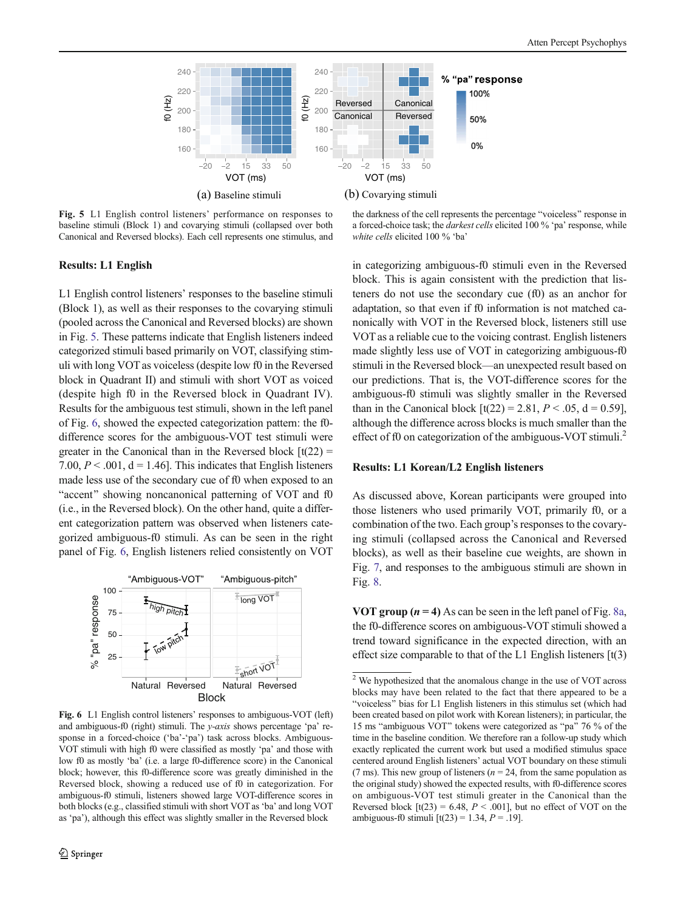<span id="page-7-0"></span>

Fig. 5 L1 English control listeners' performance on responses to baseline stimuli (Block 1) and covarying stimuli (collapsed over both Canonical and Reversed blocks). Each cell represents one stimulus, and

the darkness of the cell represents the percentage "voiceless" response in a forced-choice task; the darkest cells elicited 100 % 'pa' response, while white cells elicited 100 % 'ba'

## Results: L1 English

L1 English control listeners' responses to the baseline stimuli (Block 1), as well as their responses to the covarying stimuli (pooled across the Canonical and Reversed blocks) are shown in Fig. 5. These patterns indicate that English listeners indeed categorized stimuli based primarily on VOT, classifying stimuli with long VOT as voiceless (despite low f0 in the Reversed block in Quadrant II) and stimuli with short VOT as voiced (despite high f0 in the Reversed block in Quadrant IV). Results for the ambiguous test stimuli, shown in the left panel of Fig. 6, showed the expected categorization pattern: the f0 difference scores for the ambiguous-VOT test stimuli were greater in the Canonical than in the Reversed block  $[t(22) =$ 7.00,  $P < .001$ ,  $d = 1.46$ . This indicates that English listeners made less use of the secondary cue of f0 when exposed to an "accent" showing noncanonical patterning of VOT and f0 (i.e., in the Reversed block). On the other hand, quite a different categorization pattern was observed when listeners categorized ambiguous-f0 stimuli. As can be seen in the right panel of Fig. 6, English listeners relied consistently on VOT



Fig. 6 L1 English control listeners' responses to ambiguous-VOT (left) and ambiguous-f0 (right) stimuli. The y-axis shows percentage 'pa' response in a forced-choice ('ba'-'pa') task across blocks. Ambiguous-VOT stimuli with high f0 were classified as mostly 'pa' and those with low f0 as mostly 'ba' (i.e. a large f0-difference score) in the Canonical block; however, this f0-difference score was greatly diminished in the Reversed block, showing a reduced use of f0 in categorization. For ambiguous-f0 stimuli, listeners showed large VOT-difference scores in both blocks (e.g., classified stimuli with short VOT as 'ba' and long VOT as 'pa'), although this effect was slightly smaller in the Reversed block

in categorizing ambiguous-f0 stimuli even in the Reversed block. This is again consistent with the prediction that listeners do not use the secondary cue (f0) as an anchor for adaptation, so that even if f0 information is not matched canonically with VOT in the Reversed block, listeners still use VOT as a reliable cue to the voicing contrast. English listeners made slightly less use of VOT in categorizing ambiguous-f0 stimuli in the Reversed block—an unexpected result based on our predictions. That is, the VOT-difference scores for the ambiguous-f0 stimuli was slightly smaller in the Reversed than in the Canonical block  $[t(22) = 2.81, P < .05, d = 0.59]$ , although the difference across blocks is much smaller than the effect of f0 on categorization of the ambiguous-VOT stimuli.<sup>2</sup>

## Results: L1 Korean/L2 English listeners

As discussed above, Korean participants were grouped into those listeners who used primarily VOT, primarily f0, or a combination of the two. Each group's responses to the covarying stimuli (collapsed across the Canonical and Reversed blocks), as well as their baseline cue weights, are shown in Fig. [7](#page-8-0), and responses to the ambiguous stimuli are shown in Fig. [8](#page-8-0).

VOT group  $(n = 4)$  As can be seen in the left panel of Fig. [8a,](#page-8-0) the f0-difference scores on ambiguous-VOT stimuli showed a trend toward significance in the expected direction, with an effect size comparable to that of the L1 English listeners  $[t(3)]$ 

 $2\overline{V}$  We hypothesized that the anomalous change in the use of VOT across blocks may have been related to the fact that there appeared to be a "voiceless" bias for L1 English listeners in this stimulus set (which had been created based on pilot work with Korean listeners); in particular, the 15 ms "ambiguous VOT" tokens were categorized as "pa" 76 % of the time in the baseline condition. We therefore ran a follow-up study which exactly replicated the current work but used a modified stimulus space centered around English listeners' actual VOT boundary on these stimuli (7 ms). This new group of listeners ( $n = 24$ , from the same population as the original study) showed the expected results, with f0-difference scores on ambiguous-VOT test stimuli greater in the Canonical than the Reversed block  $[t(23) = 6.48, P < .001]$ , but no effect of VOT on the ambiguous-f0 stimuli  $[t(23) = 1.34, P = .19]$ .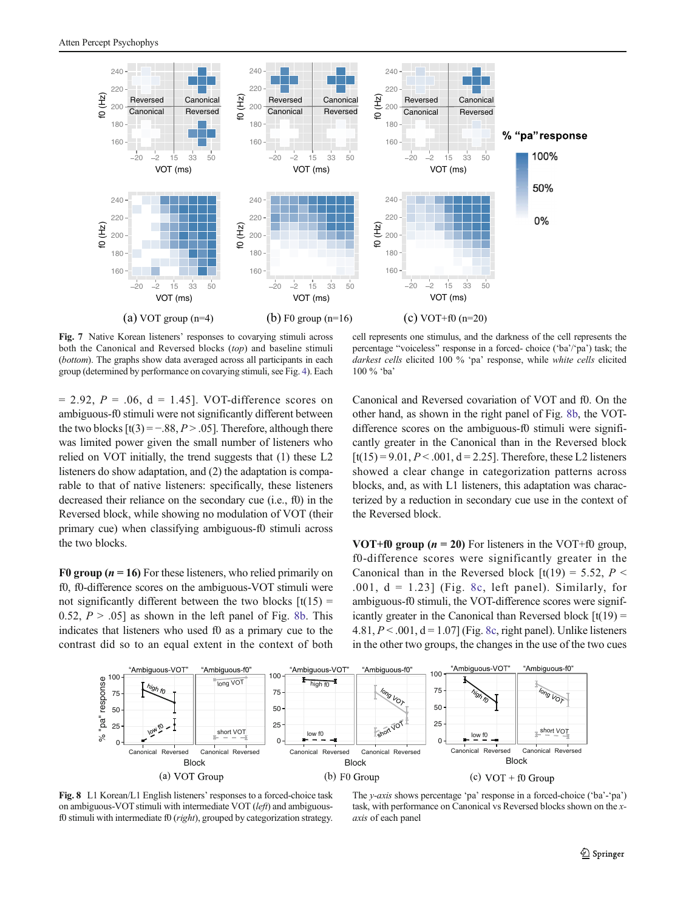<span id="page-8-0"></span>

Fig. 7 Native Korean listeners' responses to covarying stimuli across both the Canonical and Reversed blocks (top) and baseline stimuli (bottom). The graphs show data averaged across all participants in each group (determined by performance on covarying stimuli, see Fig. [4](#page-6-0)). Each

cell represents one stimulus, and the darkness of the cell represents the percentage "voiceless" response in a forced- choice ('ba'/'pa') task; the darkest cells elicited 100 % 'pa' response, while white cells elicited 100 % 'ba'

 $= 2.92$ ,  $P = .06$ ,  $d = 1.45$ . VOT-difference scores on ambiguous-f0 stimuli were not significantly different between the two blocks  $[t(3) = -.88, P > .05]$ . Therefore, although there was limited power given the small number of listeners who relied on VOT initially, the trend suggests that (1) these L2 listeners do show adaptation, and (2) the adaptation is comparable to that of native listeners: specifically, these listeners decreased their reliance on the secondary cue (i.e., f0) in the Reversed block, while showing no modulation of VOT (their primary cue) when classifying ambiguous-f0 stimuli across the two blocks.

**F0 group (** $n = 16$ **)** For these listeners, who relied primarily on f0, f0-difference scores on the ambiguous-VOT stimuli were not significantly different between the two blocks  $[t(15) =$ 0.52,  $P > .05$ ] as shown in the left panel of Fig. 8b. This indicates that listeners who used f0 as a primary cue to the contrast did so to an equal extent in the context of both Canonical and Reversed covariation of VOT and f0. On the other hand, as shown in the right panel of Fig. 8b, the VOTdifference scores on the ambiguous-f0 stimuli were significantly greater in the Canonical than in the Reversed block  $[t(15) = 9.01, P < .001, d = 2.25]$ . Therefore, these L2 listeners showed a clear change in categorization patterns across blocks, and, as with L1 listeners, this adaptation was characterized by a reduction in secondary cue use in the context of the Reversed block.

VOT+f0 group  $(n = 20)$  For listeners in the VOT+f0 group, f0-difference scores were significantly greater in the Canonical than in the Reversed block  $[t(19) = 5.52, P <$ .001,  $d = 1.23$  (Fig. 8c, left panel). Similarly, for ambiguous-f0 stimuli, the VOT-difference scores were significantly greater in the Canonical than Reversed block  $[t(19) =$ 4.81,  $P < .001$ ,  $d = 1.07$  (Fig. 8c, right panel). Unlike listeners in the other two groups, the changes in the use of the two cues



Fig. 8 L1 Korean/L1 English listeners' responses to a forced-choice task on ambiguous-VOT stimuli with intermediate VOT (left) and ambiguousf0 stimuli with intermediate f0 ( $right$ ), grouped by categorization strategy.

The y-axis shows percentage 'pa' response in a forced-choice ('ba'-'pa') task, with performance on Canonical vs Reversed blocks shown on the xaxis of each panel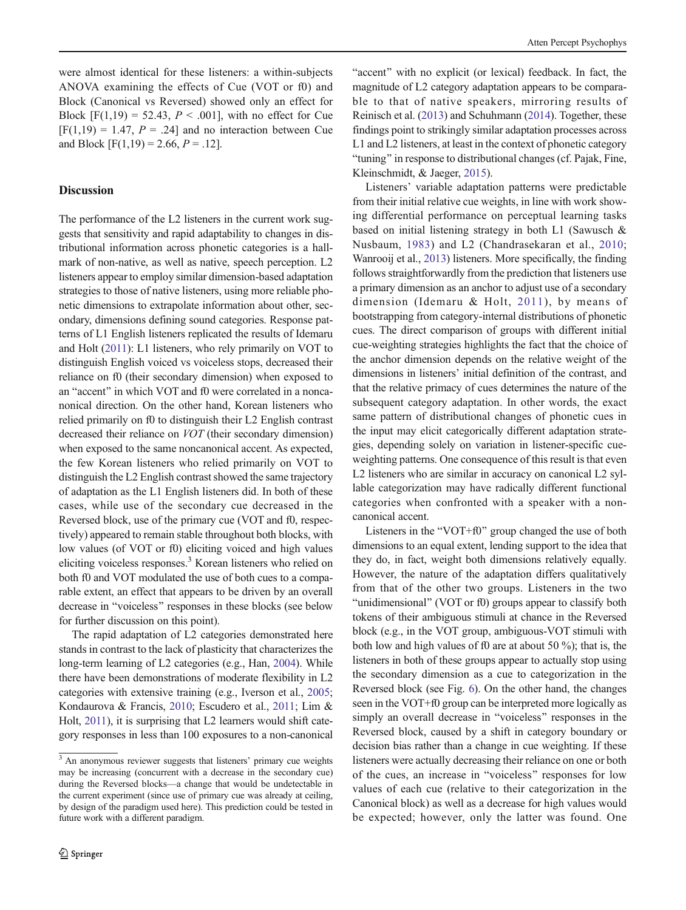were almost identical for these listeners: a within-subjects ANOVA examining the effects of Cue (VOT or f0) and Block (Canonical vs Reversed) showed only an effect for Block  $[F(1,19) = 52.43, P < .001]$ , with no effect for Cue  $[F(1,19) = 1.47, P = .24]$  and no interaction between Cue and Block  $[F(1,19) = 2.66, P = .12]$ .

# **Discussion**

The performance of the L2 listeners in the current work suggests that sensitivity and rapid adaptability to changes in distributional information across phonetic categories is a hallmark of non-native, as well as native, speech perception. L2 listeners appear to employ similar dimension-based adaptation strategies to those of native listeners, using more reliable phonetic dimensions to extrapolate information about other, secondary, dimensions defining sound categories. Response patterns of L1 English listeners replicated the results of Idemaru and Holt [\(2011](#page-11-0)): L1 listeners, who rely primarily on VOT to distinguish English voiced vs voiceless stops, decreased their reliance on f0 (their secondary dimension) when exposed to an "accent" in which VOT and f0 were correlated in a noncanonical direction. On the other hand, Korean listeners who relied primarily on f0 to distinguish their L2 English contrast decreased their reliance on VOT (their secondary dimension) when exposed to the same noncanonical accent. As expected, the few Korean listeners who relied primarily on VOT to distinguish the L2 English contrast showed the same trajectory of adaptation as the L1 English listeners did. In both of these cases, while use of the secondary cue decreased in the Reversed block, use of the primary cue (VOT and f0, respectively) appeared to remain stable throughout both blocks, with low values (of VOT or f0) eliciting voiced and high values eliciting voiceless responses.3 Korean listeners who relied on both f0 and VOT modulated the use of both cues to a comparable extent, an effect that appears to be driven by an overall decrease in "voiceless" responses in these blocks (see below for further discussion on this point).

The rapid adaptation of L2 categories demonstrated here stands in contrast to the lack of plasticity that characterizes the long-term learning of L2 categories (e.g., Han, [2004\)](#page-11-0). While there have been demonstrations of moderate flexibility in L2 categories with extensive training (e.g., Iverson et al., [2005](#page-11-0); Kondaurova & Francis, [2010;](#page-12-0) Escudero et al., [2011](#page-11-0); Lim & Holt, [2011\)](#page-12-0), it is surprising that L2 learners would shift category responses in less than 100 exposures to a non-canonical

"accent" with no explicit (or lexical) feedback. In fact, the magnitude of L2 category adaptation appears to be comparable to that of native speakers, mirroring results of Reinisch et al. [\(2013\)](#page-12-0) and Schuhmann [\(2014](#page-12-0)). Together, these findings point to strikingly similar adaptation processes across L1 and L2 listeners, at least in the context of phonetic category "tuning" in response to distributional changes (cf. Pajak, Fine, Kleinschmidt, & Jaeger, [2015](#page-12-0)).

Listeners' variable adaptation patterns were predictable from their initial relative cue weights, in line with work showing differential performance on perceptual learning tasks based on initial listening strategy in both L1 (Sawusch & Nusbaum, [1983](#page-12-0)) and L2 (Chandrasekaran et al., [2010;](#page-11-0) Wanrooij et al., [2013\)](#page-12-0) listeners. More specifically, the finding follows straightforwardly from the prediction that listeners use a primary dimension as an anchor to adjust use of a secondary dimension (Idemaru & Holt, [2011\)](#page-11-0), by means of bootstrapping from category-internal distributions of phonetic cues. The direct comparison of groups with different initial cue-weighting strategies highlights the fact that the choice of the anchor dimension depends on the relative weight of the dimensions in listeners' initial definition of the contrast, and that the relative primacy of cues determines the nature of the subsequent category adaptation. In other words, the exact same pattern of distributional changes of phonetic cues in the input may elicit categorically different adaptation strategies, depending solely on variation in listener-specific cueweighting patterns. One consequence of this result is that even L2 listeners who are similar in accuracy on canonical L2 syllable categorization may have radically different functional categories when confronted with a speaker with a noncanonical accent.

Listeners in the "VOT+f0" group changed the use of both dimensions to an equal extent, lending support to the idea that they do, in fact, weight both dimensions relatively equally. However, the nature of the adaptation differs qualitatively from that of the other two groups. Listeners in the two "unidimensional" (VOT or f0) groups appear to classify both tokens of their ambiguous stimuli at chance in the Reversed block (e.g., in the VOT group, ambiguous-VOT stimuli with both low and high values of f0 are at about 50 %); that is, the listeners in both of these groups appear to actually stop using the secondary dimension as a cue to categorization in the Reversed block (see Fig. [6\)](#page-7-0). On the other hand, the changes seen in the VOT+f0 group can be interpreted more logically as simply an overall decrease in "voiceless" responses in the Reversed block, caused by a shift in category boundary or decision bias rather than a change in cue weighting. If these listeners were actually decreasing their reliance on one or both of the cues, an increase in "voiceless" responses for low values of each cue (relative to their categorization in the Canonical block) as well as a decrease for high values would be expected; however, only the latter was found. One

 $\frac{3}{3}$  An anonymous reviewer suggests that listeners' primary cue weights may be increasing (concurrent with a decrease in the secondary cue) during the Reversed blocks—a change that would be undetectable in the current experiment (since use of primary cue was already at ceiling, by design of the paradigm used here). This prediction could be tested in future work with a different paradigm.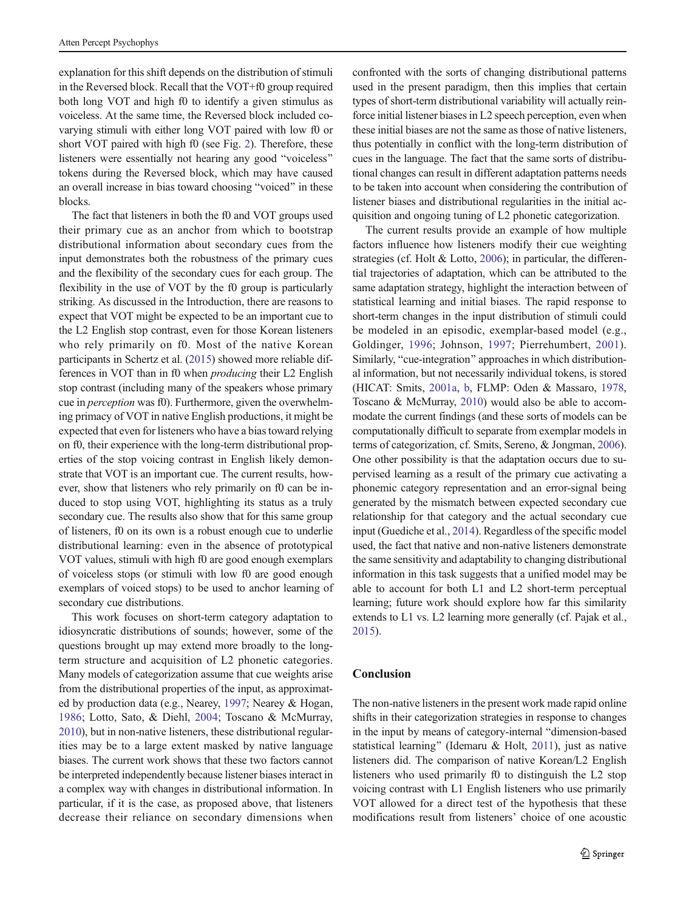explanation for this shift depends on the distribution of stimuli in the Reversed block. Recall that the VOT+f0 group required both long VOT and high f0 to identify a given stimulus as voiceless. At the same time, the Reversed block included covarying stimuli with either long VOT paired with low f0 or short VOT paired with high f0 (see Fig. [2](#page-5-0)). Therefore, these listeners were essentially not hearing any good "voiceless" tokens during the Reversed block, which may have caused an overall increase in bias toward choosing "voiced" in these blocks.

The fact that listeners in both the f0 and VOT groups used their primary cue as an anchor from which to bootstrap distributional information about secondary cues from the input demonstrates both the robustness of the primary cues and the flexibility of the secondary cues for each group. The flexibility in the use of VOT by the f0 group is particularly striking. As discussed in the Introduction, there are reasons to expect that VOT might be expected to be an important cue to the L2 English stop contrast, even for those Korean listeners who rely primarily on f0. Most of the native Korean participants in Schertz et al. [\(2015\)](#page-12-0) showed more reliable differences in VOT than in f0 when producing their L2 English stop contrast (including many of the speakers whose primary cue in perception was f0). Furthermore, given the overwhelming primacy of VOT in native English productions, it might be expected that even for listeners who have a bias toward relying on f0, their experience with the long-term distributional properties of the stop voicing contrast in English likely demonstrate that VOT is an important cue. The current results, however, show that listeners who rely primarily on f0 can be induced to stop using VOT, highlighting its status as a truly secondary cue. The results also show that for this same group of listeners, f0 on its own is a robust enough cue to underlie distributional learning: even in the absence of prototypical VOT values, stimuli with high f0 are good enough exemplars of voiceless stops (or stimuli with low f0 are good enough exemplars of voiced stops) to be used to anchor learning of secondary cue distributions.

This work focuses on short-term category adaptation to idiosyncratic distributions of sounds; however, some of the questions brought up may extend more broadly to the longterm structure and acquisition of L2 phonetic categories. Many models of categorization assume that cue weights arise from the distributional properties of the input, as approximated by production data (e.g., Nearey, [1997;](#page-12-0) Nearey & Hogan, [1986](#page-12-0); Lotto, Sato, & Diehl, [2004](#page-12-0); Toscano & McMurray, [2010\)](#page-12-0), but in non-native listeners, these distributional regularities may be to a large extent masked by native language biases. The current work shows that these two factors cannot be interpreted independently because listener biases interact in a complex way with changes in distributional information. In particular, if it is the case, as proposed above, that listeners decrease their reliance on secondary dimensions when confronted with the sorts of changing distributional patterns used in the present paradigm, then this implies that certain types of short-term distributional variability will actually reinforce initial listener biases in L2 speech perception, even when these initial biases are not the same as those of native listeners, thus potentially in conflict with the long-term distribution of cues in the language. The fact that the same sorts of distributional changes can result in different adaptation patterns needs to be taken into account when considering the contribution of listener biases and distributional regularities in the initial acquisition and ongoing tuning of L2 phonetic categorization.

The current results provide an example of how multiple factors influence how listeners modify their cue weighting strategies (cf. Holt & Lotto, [2006](#page-11-0)); in particular, the differential trajectories of adaptation, which can be attributed to the same adaptation strategy, highlight the interaction between of statistical learning and initial biases. The rapid response to short-term changes in the input distribution of stimuli could be modeled in an episodic, exemplar-based model (e.g., Goldinger, [1996;](#page-11-0) Johnson, [1997](#page-12-0); Pierrehumbert, [2001](#page-12-0)). Similarly, "cue-integration" approaches in which distributional information, but not necessarily individual tokens, is stored (HICAT: Smits, [2001a,](#page-12-0) [b,](#page-12-0) FLMP: Oden & Massaro, [1978,](#page-12-0) Toscano & McMurray, [2010\)](#page-12-0) would also be able to accommodate the current findings (and these sorts of models can be computationally difficult to separate from exemplar models in terms of categorization, cf. Smits, Sereno, & Jongman, [2006\)](#page-12-0). One other possibility is that the adaptation occurs due to supervised learning as a result of the primary cue activating a phonemic category representation and an error-signal being generated by the mismatch between expected secondary cue relationship for that category and the actual secondary cue input (Guediche et al., [2014](#page-11-0)). Regardless of the specific model used, the fact that native and non-native listeners demonstrate the same sensitivity and adaptability to changing distributional information in this task suggests that a unified model may be able to account for both L1 and L2 short-term perceptual learning; future work should explore how far this similarity extends to L1 vs. L2 learning more generally (cf. Pajak et al., [2015\)](#page-12-0).

## Conclusion

The non-native listeners in the present work made rapid online shifts in their categorization strategies in response to changes in the input by means of category-internal "dimension-based statistical learning" (Idemaru & Holt, [2011](#page-11-0)), just as native listeners did. The comparison of native Korean/L2 English listeners who used primarily f0 to distinguish the L2 stop voicing contrast with L1 English listeners who use primarily VOT allowed for a direct test of the hypothesis that these modifications result from listeners' choice of one acoustic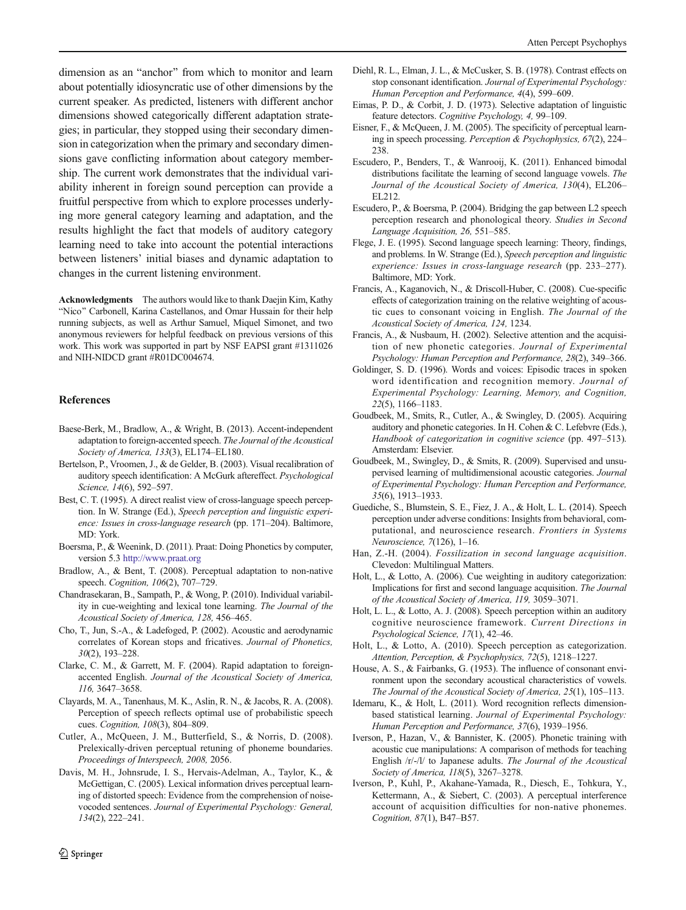<span id="page-11-0"></span>dimension as an "anchor" from which to monitor and learn about potentially idiosyncratic use of other dimensions by the current speaker. As predicted, listeners with different anchor dimensions showed categorically different adaptation strategies; in particular, they stopped using their secondary dimension in categorization when the primary and secondary dimensions gave conflicting information about category membership. The current work demonstrates that the individual variability inherent in foreign sound perception can provide a fruitful perspective from which to explore processes underlying more general category learning and adaptation, and the results highlight the fact that models of auditory category learning need to take into account the potential interactions between listeners' initial biases and dynamic adaptation to changes in the current listening environment.

Acknowledgments The authors would like to thank Daejin Kim, Kathy "Nico" Carbonell, Karina Castellanos, and Omar Hussain for their help running subjects, as well as Arthur Samuel, Miquel Simonet, and two anonymous reviewers for helpful feedback on previous versions of this work. This work was supported in part by NSF EAPSI grant #1311026 and NIH-NIDCD grant #R01DC004674.

## References

- Baese-Berk, M., Bradlow, A., & Wright, B. (2013). Accent-independent adaptation to foreign-accented speech. The Journal of the Acoustical Society of America, 133(3), EL174–EL180.
- Bertelson, P., Vroomen, J., & de Gelder, B. (2003). Visual recalibration of auditory speech identification: A McGurk aftereffect. Psychological Science, 14(6), 592-597.
- Best, C. T. (1995). A direct realist view of cross-language speech perception. In W. Strange (Ed.), Speech perception and linguistic experience: Issues in cross-language research (pp. 171–204). Baltimore, MD: York.
- Boersma, P., & Weenink, D. (2011). Praat: Doing Phonetics by computer, version 5.3 [http://www.praat.org](http://www.praat.org/)
- Bradlow, A., & Bent, T. (2008). Perceptual adaptation to non-native speech. Cognition, 106(2), 707–729.
- Chandrasekaran, B., Sampath, P., & Wong, P. (2010). Individual variability in cue-weighting and lexical tone learning. The Journal of the Acoustical Society of America, 128, 456–465.
- Cho, T., Jun, S.-A., & Ladefoged, P. (2002). Acoustic and aerodynamic correlates of Korean stops and fricatives. Journal of Phonetics, 30(2), 193–228.
- Clarke, C. M., & Garrett, M. F. (2004). Rapid adaptation to foreignaccented English. Journal of the Acoustical Society of America, 116, 3647–3658.
- Clayards, M. A., Tanenhaus, M. K., Aslin, R. N., & Jacobs, R. A. (2008). Perception of speech reflects optimal use of probabilistic speech cues. Cognition, 108(3), 804–809.
- Cutler, A., McQueen, J. M., Butterfield, S., & Norris, D. (2008). Prelexically-driven perceptual retuning of phoneme boundaries. Proceedings of Interspeech, 2008, 2056.
- Davis, M. H., Johnsrude, I. S., Hervais-Adelman, A., Taylor, K., & McGettigan, C. (2005). Lexical information drives perceptual learning of distorted speech: Evidence from the comprehension of noisevocoded sentences. Journal of Experimental Psychology: General, 134(2), 222–241.
- Diehl, R. L., Elman, J. L., & McCusker, S. B. (1978). Contrast effects on stop consonant identification. Journal of Experimental Psychology: Human Perception and Performance, 4(4), 599–609.
- Eimas, P. D., & Corbit, J. D. (1973). Selective adaptation of linguistic feature detectors. Cognitive Psychology, 4, 99–109.
- Eisner, F., & McQueen, J. M. (2005). The specificity of perceptual learning in speech processing. Perception & Psychophysics, 67(2), 224– 238.
- Escudero, P., Benders, T., & Wanrooij, K. (2011). Enhanced bimodal distributions facilitate the learning of second language vowels. The Journal of the Acoustical Society of America, 130(4), EL206– EL212.
- Escudero, P., & Boersma, P. (2004). Bridging the gap between L2 speech perception research and phonological theory. Studies in Second Language Acquisition, 26, 551–585.
- Flege, J. E. (1995). Second language speech learning: Theory, findings, and problems. In W. Strange (Ed.), Speech perception and linguistic experience: Issues in cross-language research (pp. 233–277). Baltimore, MD: York.
- Francis, A., Kaganovich, N., & Driscoll-Huber, C. (2008). Cue-specific effects of categorization training on the relative weighting of acoustic cues to consonant voicing in English. The Journal of the Acoustical Society of America, 124, 1234.
- Francis, A., & Nusbaum, H. (2002). Selective attention and the acquisition of new phonetic categories. Journal of Experimental Psychology: Human Perception and Performance, 28(2), 349–366.
- Goldinger, S. D. (1996). Words and voices: Episodic traces in spoken word identification and recognition memory. Journal of Experimental Psychology: Learning, Memory, and Cognition, 22(5), 1166–1183.
- Goudbeek, M., Smits, R., Cutler, A., & Swingley, D. (2005). Acquiring auditory and phonetic categories. In H. Cohen & C. Lefebvre (Eds.), Handbook of categorization in cognitive science (pp. 497–513). Amsterdam: Elsevier.
- Goudbeek, M., Swingley, D., & Smits, R. (2009). Supervised and unsupervised learning of multidimensional acoustic categories. Journal of Experimental Psychology: Human Perception and Performance, 35(6), 1913–1933.
- Guediche, S., Blumstein, S. E., Fiez, J. A., & Holt, L. L. (2014). Speech perception under adverse conditions: Insights from behavioral, computational, and neuroscience research. Frontiers in Systems Neuroscience, 7(126), 1–16.
- Han, Z.-H. (2004). Fossilization in second language acquisition. Clevedon: Multilingual Matters.
- Holt, L., & Lotto, A. (2006). Cue weighting in auditory categorization: Implications for first and second language acquisition. The Journal of the Acoustical Society of America, 119, 3059–3071.
- Holt, L. L., & Lotto, A. J. (2008). Speech perception within an auditory cognitive neuroscience framework. Current Directions in Psychological Science, 17(1), 42–46.
- Holt, L., & Lotto, A. (2010). Speech perception as categorization. Attention, Perception, & Psychophysics, 72(5), 1218–1227.
- House, A. S., & Fairbanks, G. (1953). The influence of consonant environment upon the secondary acoustical characteristics of vowels. The Journal of the Acoustical Society of America, 25(1), 105–113.
- Idemaru, K., & Holt, L. (2011). Word recognition reflects dimensionbased statistical learning. Journal of Experimental Psychology: Human Perception and Performance, 37(6), 1939–1956.
- Iverson, P., Hazan, V., & Bannister, K. (2005). Phonetic training with acoustic cue manipulations: A comparison of methods for teaching English /r/-/l/ to Japanese adults. The Journal of the Acoustical Society of America, 118(5), 3267–3278.
- Iverson, P., Kuhl, P., Akahane-Yamada, R., Diesch, E., Tohkura, Y., Kettermann, A., & Siebert, C. (2003). A perceptual interference account of acquisition difficulties for non-native phonemes. Cognition, 87(1), B47–B57.